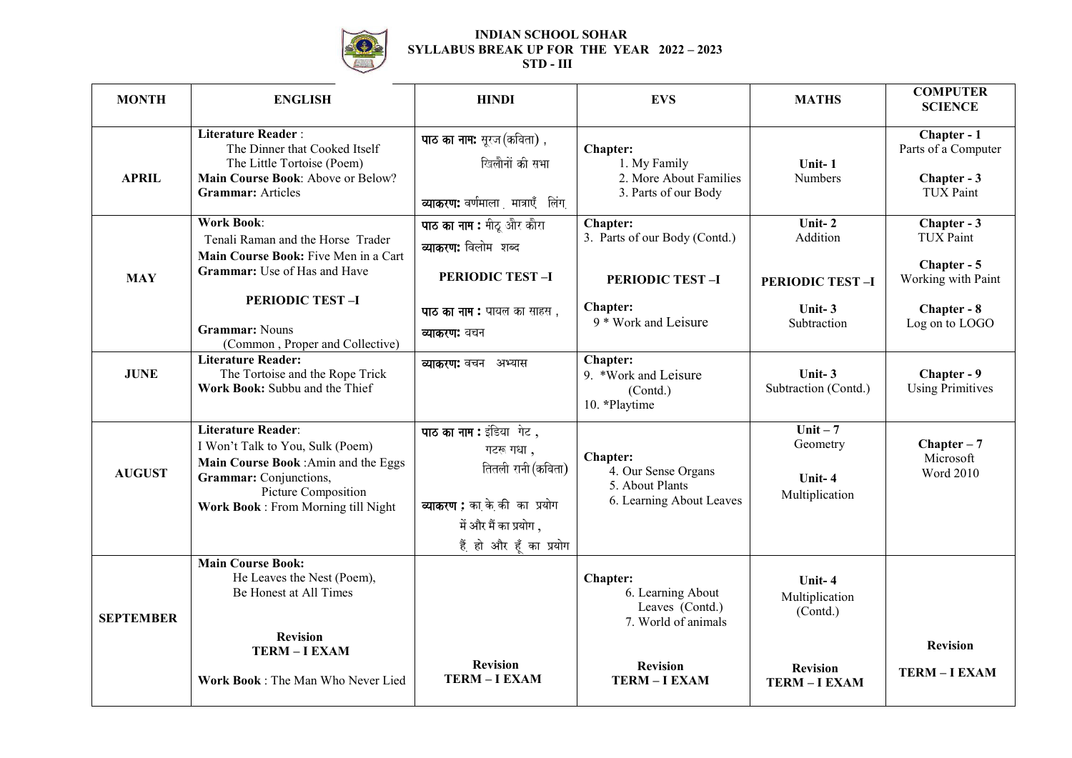

## **INDIAN SCHOOL SOHAR SYLLABUS BREAK UP FOR THE YEAR 2022 – 2023 STD - III**

| <b>MONTH</b>     | <b>ENGLISH</b>                                                                                                                                                                        | <b>HINDI</b>                                                                                                                                     | <b>EVS</b>                                                                                                | <b>MATHS</b>                                                                  | <b>COMPUTER</b><br><b>SCIENCE</b>                                                                     |
|------------------|---------------------------------------------------------------------------------------------------------------------------------------------------------------------------------------|--------------------------------------------------------------------------------------------------------------------------------------------------|-----------------------------------------------------------------------------------------------------------|-------------------------------------------------------------------------------|-------------------------------------------------------------------------------------------------------|
| <b>APRIL</b>     | <b>Literature Reader:</b><br>The Dinner that Cooked Itself<br>The Little Tortoise (Poem)<br>Main Course Book: Above or Below?<br><b>Grammar:</b> Articles                             | पाठ का नाम: सूरज (कविता),<br>खिलौनों की सभा<br>व्याकरण: वर्णमाला मात्राएँ लिंग                                                                   | <b>Chapter:</b><br>1. My Family<br>2. More About Families<br>3. Parts of our Body                         | Unit-1<br>Numbers                                                             | Chapter - 1<br>Parts of a Computer<br>Chapter - 3<br><b>TUX Paint</b>                                 |
| <b>MAY</b>       | <b>Work Book:</b><br>Tenali Raman and the Horse Trader<br>Main Course Book: Five Men in a Cart<br>Grammar: Use of Has and Have<br><b>PERIODIC TEST-I</b><br><b>Grammar: Nouns</b>     | पाठ का नाम: मीठू और कौरा<br>व्याकरण: विलोम शब्द<br><b>PERIODIC TEST-I</b><br>पाठ का नाम : पायल का साहस,<br>व्याकरण: वचन                          | Chapter:<br>3. Parts of our Body (Contd.)<br><b>PERIODIC TEST-I</b><br>Chapter:<br>9 * Work and Leisure   | Unit-2<br>Addition<br><b>PERIODIC TEST-I</b><br>Unit-3<br>Subtraction         | Chapter - 3<br><b>TUX Paint</b><br>Chapter - 5<br>Working with Paint<br>Chapter - 8<br>Log on to LOGO |
| <b>JUNE</b>      | (Common, Proper and Collective)<br><b>Literature Reader:</b><br>The Tortoise and the Rope Trick<br>Work Book: Subbu and the Thief                                                     | व्याकरण: वचन अभ्यास                                                                                                                              | <b>Chapter:</b><br>9. *Work and Leisure<br>(Contd.)<br>10. *Playtime                                      | Unit-3<br>Subtraction (Contd.)                                                | Chapter - 9<br><b>Using Primitives</b>                                                                |
| <b>AUGUST</b>    | Literature Reader:<br>I Won't Talk to You, Sulk (Poem)<br>Main Course Book : Amin and the Eggs<br>Grammar: Conjunctions,<br>Picture Composition<br>Work Book: From Morning till Night | पाठ का नाम : इंडिया गेट,<br>गटरू गधा,<br>तितली रानी (कविता)<br>व्याकरण : का के की का प्रयोग<br>में और मैं का प्रयोग ,<br>हैं हो और हूँ का प्रयोग | Chapter:<br>4. Our Sense Organs<br>5. About Plants<br>6. Learning About Leaves                            | Unit $-7$<br>Geometry<br>Unit-4<br>Multiplication                             | $Chapter - 7$<br>Microsoft<br><b>Word 2010</b>                                                        |
| <b>SEPTEMBER</b> | <b>Main Course Book:</b><br>He Leaves the Nest (Poem),<br>Be Honest at All Times<br><b>Revision</b><br>TERM-I EXAM<br>Work Book: The Man Who Never Lied                               | <b>Revision</b><br><b>TERM-I EXAM</b>                                                                                                            | Chapter:<br>6. Learning About<br>Leaves (Contd.)<br>7. World of animals<br><b>Revision</b><br>TERM-I EXAM | Unit-4<br>Multiplication<br>(Contd.)<br><b>Revision</b><br><b>TERM-I EXAM</b> | <b>Revision</b><br><b>TERM-I EXAM</b>                                                                 |
|                  |                                                                                                                                                                                       |                                                                                                                                                  |                                                                                                           |                                                                               |                                                                                                       |